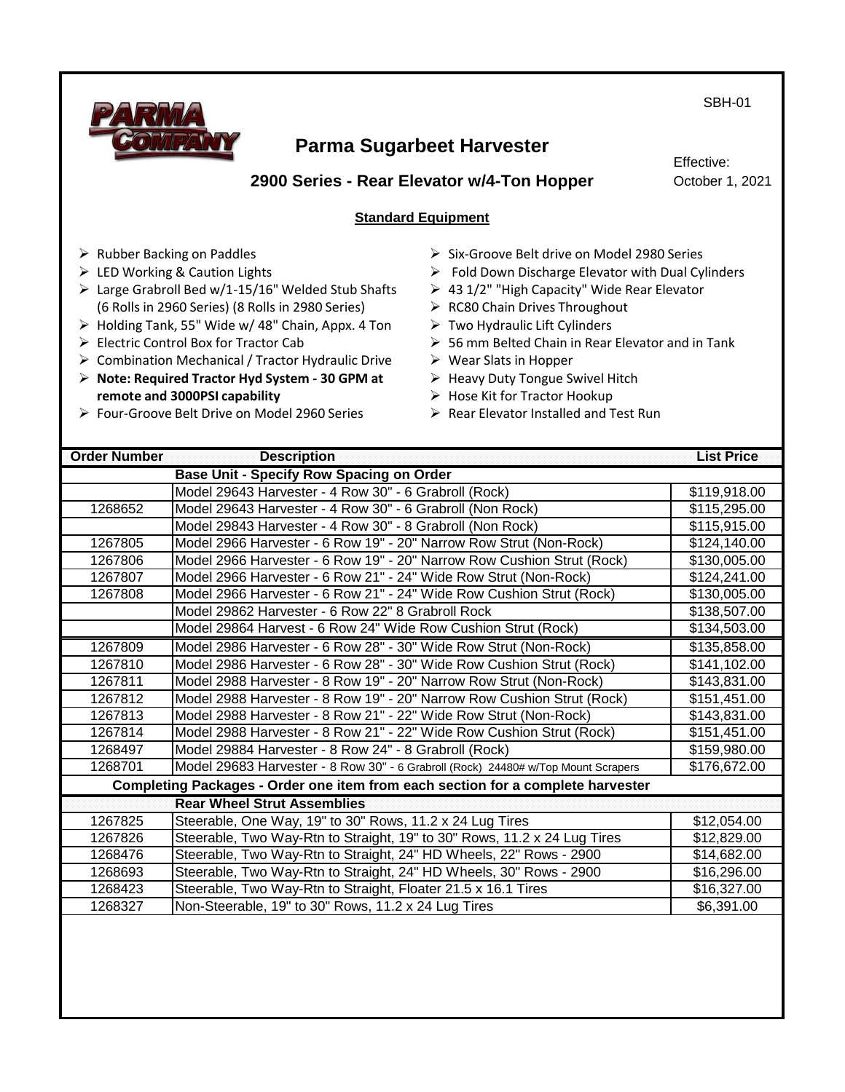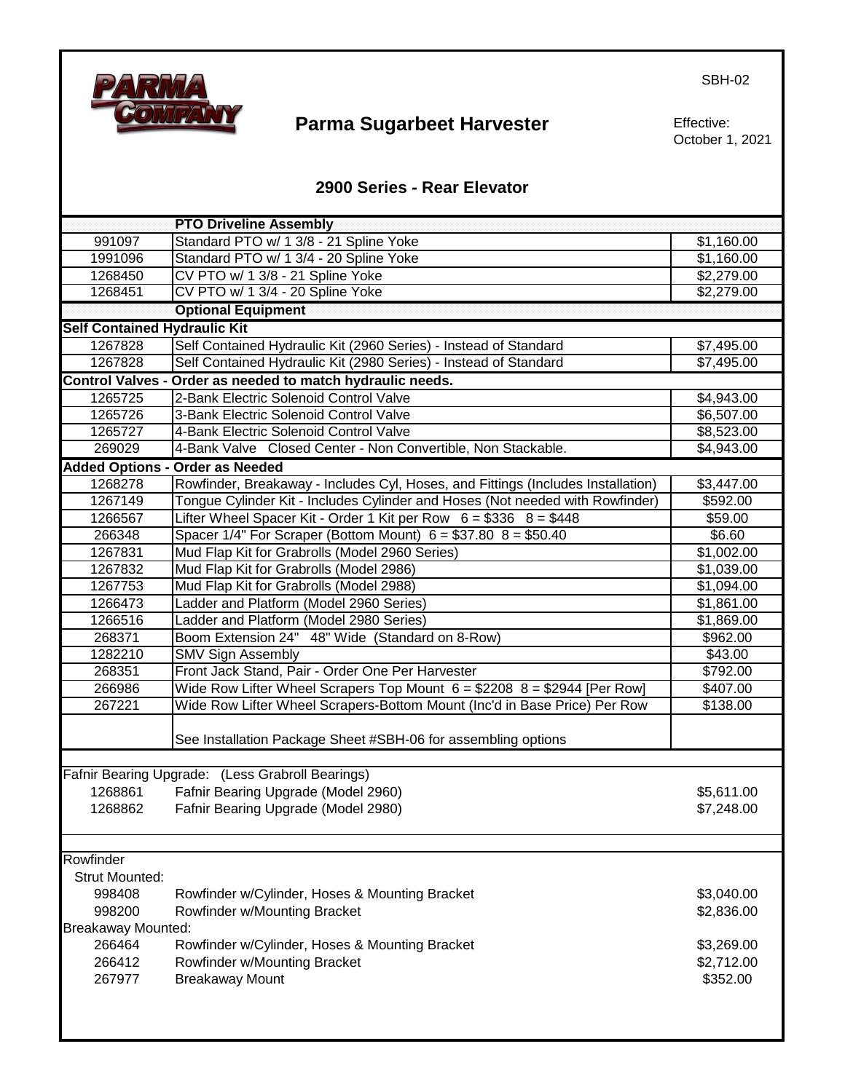

Effective: October 1, 2021

SBH-02

### **2900 Series - Rear Elevator**

|                                        | <b>PTO Driveline Assembly</b>                                                    |                        |
|----------------------------------------|----------------------------------------------------------------------------------|------------------------|
| 991097                                 | Standard PTO w/ 1 3/8 - 21 Spline Yoke                                           | \$1,160.00             |
| 1991096                                | Standard PTO w/ 1 3/4 - 20 Spline Yoke                                           | \$1,160.00             |
| 1268450                                | CV PTO w/ 1 3/8 - 21 Spline Yoke                                                 | \$2,279.00             |
| 1268451                                | CV PTO w/ 1 3/4 - 20 Spline Yoke                                                 | \$2,279.00             |
|                                        | <b>Optional Equipment</b>                                                        |                        |
| <b>Self Contained Hydraulic Kit</b>    |                                                                                  |                        |
| 1267828                                | Self Contained Hydraulic Kit (2960 Series) - Instead of Standard                 | \$7,495.00             |
| 1267828                                | Self Contained Hydraulic Kit (2980 Series) - Instead of Standard                 | \$7,495.00             |
|                                        | Control Valves - Order as needed to match hydraulic needs.                       |                        |
| 1265725                                | 2-Bank Electric Solenoid Control Valve                                           | \$4,943.00             |
| 1265726                                | 3-Bank Electric Solenoid Control Valve                                           | \$6,507.00             |
| 1265727                                | 4-Bank Electric Solenoid Control Valve                                           | \$8,523.00             |
| 269029                                 | 4-Bank Valve Closed Center - Non Convertible, Non Stackable.                     | \$4,943.00             |
|                                        | <b>Added Options - Order as Needed</b>                                           |                        |
| 1268278                                | Rowfinder, Breakaway - Includes Cyl, Hoses, and Fittings (Includes Installation) | \$3,447.00             |
| 1267149                                | Tongue Cylinder Kit - Includes Cylinder and Hoses (Not needed with Rowfinder)    | \$592.00               |
| 1266567                                | Lifter Wheel Spacer Kit - Order 1 Kit per Row $6 = $336$ $8 = $448$              | \$59.00                |
| 266348                                 | Spacer $1/4$ " For Scraper (Bottom Mount) $6 = $37.80$ $8 = $50.40$              | \$6.60                 |
| 1267831                                | Mud Flap Kit for Grabrolls (Model 2960 Series)                                   | $\overline{$1,002.00}$ |
| 1267832                                | Mud Flap Kit for Grabrolls (Model 2986)                                          | \$1,039.00             |
| 1267753                                | Mud Flap Kit for Grabrolls (Model 2988)                                          | \$1,094.00             |
| 1266473                                | Ladder and Platform (Model 2960 Series)                                          | \$1,861.00             |
| 1266516                                | Ladder and Platform (Model 2980 Series)                                          | \$1,869.00             |
| 268371                                 | Boom Extension 24" 48" Wide (Standard on 8-Row)                                  | \$962.00               |
| 1282210                                | <b>SMV Sign Assembly</b>                                                         | \$43.00                |
| 268351                                 | Front Jack Stand, Pair - Order One Per Harvester                                 | \$792.00               |
| 266986                                 | Wide Row Lifter Wheel Scrapers Top Mount $6 = $2208$ 8 = \$2944 [Per Row]        | \$407.00               |
| 267221                                 | Wide Row Lifter Wheel Scrapers-Bottom Mount (Inc'd in Base Price) Per Row        | \$138.00               |
|                                        | See Installation Package Sheet #SBH-06 for assembling options                    |                        |
|                                        | Fafnir Bearing Upgrade: (Less Grabroll Bearings)                                 |                        |
| 1268861                                | Fafnir Bearing Upgrade (Model 2960)                                              | \$5,611.00             |
| 1268862                                |                                                                                  | \$7,248.00             |
|                                        | Fafnir Bearing Upgrade (Model 2980)                                              |                        |
|                                        |                                                                                  |                        |
| Rowfinder                              |                                                                                  |                        |
| <b>Strut Mounted:</b>                  |                                                                                  |                        |
| 998408                                 | Rowfinder w/Cylinder, Hoses & Mounting Bracket                                   | \$3,040.00             |
| 998200<br>Rowfinder w/Mounting Bracket |                                                                                  | \$2,836.00             |
| <b>Breakaway Mounted:</b>              |                                                                                  |                        |
| 266464                                 | Rowfinder w/Cylinder, Hoses & Mounting Bracket                                   | \$3,269.00             |
| 266412                                 | Rowfinder w/Mounting Bracket                                                     | \$2,712.00             |
| 267977                                 | <b>Breakaway Mount</b>                                                           | \$352.00               |
|                                        |                                                                                  |                        |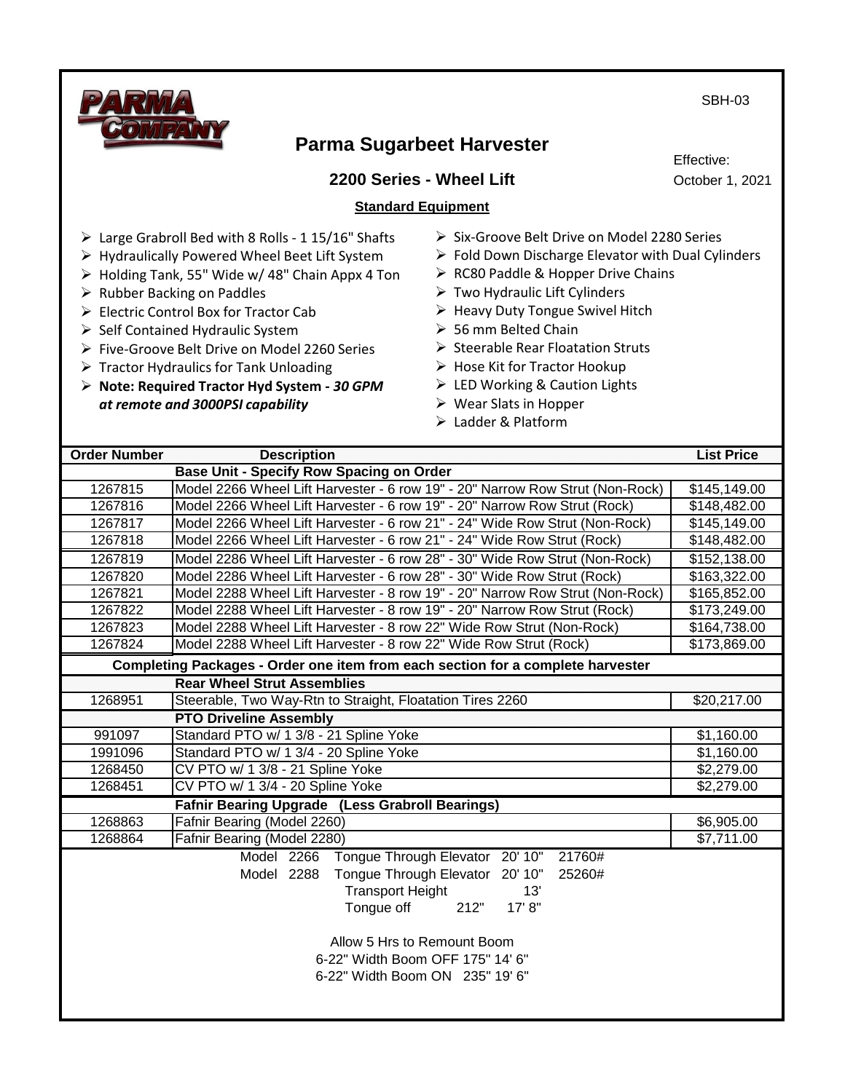

### **2200 Series - Wheel Lift Standard Equipment**

Effective: October 1, 2021

#### ➢ Large Grabroll Bed with 8 Rolls - 1 15/16" Shafts

- ➢ Hydraulically Powered Wheel Beet Lift System
- ➢ Holding Tank, 55" Wide w/ 48" Chain Appx 4 Ton
- ➢ Rubber Backing on Paddles
- ➢ Electric Control Box for Tractor Cab
- ➢ Self Contained Hydraulic System
- ➢ Five-Groove Belt Drive on Model 2260 Series
- $\triangleright$  Tractor Hydraulics for Tank Unloading
- ➢ **Note: Required Tractor Hyd System -** *30 GPM at remote and 3000PSI capability*
- ➢ Six-Groove Belt Drive on Model 2280 Series
- ➢ Fold Down Discharge Elevator with Dual Cylinders
- ➢ RC80 Paddle & Hopper Drive Chains
- $\triangleright$  Two Hydraulic Lift Cylinders
- ➢ Heavy Duty Tongue Swivel Hitch
- ➢ 56 mm Belted Chain
- ➢ Steerable Rear Floatation Struts
- ➢ Hose Kit for Tractor Hookup
- ➢ LED Working & Caution Lights
- ➢ Wear Slats in Hopper
- ➢ Ladder & Platform

| <b>Order Number</b>                                                                                | <b>Description</b>                                                                                                                                                            | <b>List Price</b>            |  |
|----------------------------------------------------------------------------------------------------|-------------------------------------------------------------------------------------------------------------------------------------------------------------------------------|------------------------------|--|
| <b>Base Unit - Specify Row Spacing on Order</b>                                                    |                                                                                                                                                                               |                              |  |
| 1267815                                                                                            | Model 2266 Wheel Lift Harvester - 6 row 19" - 20" Narrow Row Strut (Non-Rock)                                                                                                 | \$145,149.00                 |  |
| 1267816                                                                                            | Model 2266 Wheel Lift Harvester - 6 row 19" - 20" Narrow Row Strut (Rock)                                                                                                     | \$148,482.00                 |  |
| 1267817                                                                                            | Model 2266 Wheel Lift Harvester - 6 row 21" - 24" Wide Row Strut (Non-Rock)                                                                                                   | \$145,149.00                 |  |
| 1267818                                                                                            | Model 2266 Wheel Lift Harvester - 6 row 21" - 24" Wide Row Strut (Rock)                                                                                                       | \$148,482.00                 |  |
| 1267819                                                                                            | Model 2286 Wheel Lift Harvester - 6 row 28" - 30" Wide Row Strut (Non-Rock)                                                                                                   | \$152,138.00                 |  |
| 1267820                                                                                            | Model 2286 Wheel Lift Harvester - 6 row 28" - 30" Wide Row Strut (Rock)                                                                                                       | \$163,322.00                 |  |
| 1267821                                                                                            | Model 2288 Wheel Lift Harvester - 8 row 19" - 20" Narrow Row Strut (Non-Rock)                                                                                                 | \$165,852.00                 |  |
| 1267822                                                                                            | Model 2288 Wheel Lift Harvester - 8 row 19" - 20" Narrow Row Strut (Rock)                                                                                                     |                              |  |
| 1267823                                                                                            | Model 2288 Wheel Lift Harvester - 8 row 22" Wide Row Strut (Non-Rock)                                                                                                         | \$164,738.00<br>\$173,869.00 |  |
| 1267824                                                                                            | Model 2288 Wheel Lift Harvester - 8 row 22" Wide Row Strut (Rock)                                                                                                             |                              |  |
|                                                                                                    | Completing Packages - Order one item from each section for a complete harvester                                                                                               |                              |  |
|                                                                                                    | <b>Rear Wheel Strut Assemblies</b>                                                                                                                                            |                              |  |
| 1268951                                                                                            | Steerable, Two Way-Rtn to Straight, Floatation Tires 2260                                                                                                                     | \$20,217.00                  |  |
|                                                                                                    | <b>PTO Driveline Assembly</b>                                                                                                                                                 |                              |  |
| 991097                                                                                             | Standard PTO w/ 1 3/8 - 21 Spline Yoke                                                                                                                                        | \$1,160.00                   |  |
| 1991096                                                                                            | Standard PTO w/ 1 3/4 - 20 Spline Yoke                                                                                                                                        | \$1,160.00                   |  |
| 1268450                                                                                            | CV PTO w/ 1 3/8 - 21 Spline Yoke                                                                                                                                              | \$2,279.00<br>\$2,279.00     |  |
| 1268451                                                                                            | CV PTO w/ 1 3/4 - 20 Spline Yoke                                                                                                                                              |                              |  |
|                                                                                                    | <b>Fafnir Bearing Upgrade (Less Grabroll Bearings)</b>                                                                                                                        |                              |  |
| 1268863                                                                                            | Fafnir Bearing (Model 2260)                                                                                                                                                   | \$6,905.00                   |  |
| 1268864                                                                                            | Fafnir Bearing (Model 2280)                                                                                                                                                   | \$7,711.00                   |  |
|                                                                                                    | Model 2266 Tongue Through Elevator 20'10" 21760#<br>Tongue Through Elevator 20' 10"<br>Model 2288<br>25260#<br><b>Transport Height</b><br>13'<br>17' 8"<br>Tongue off<br>212" |                              |  |
| Allow 5 Hrs to Remount Boom<br>6-22" Width Boom OFF 175" 14' 6"<br>6-22" Width Boom ON 235" 19' 6" |                                                                                                                                                                               |                              |  |

SBH-03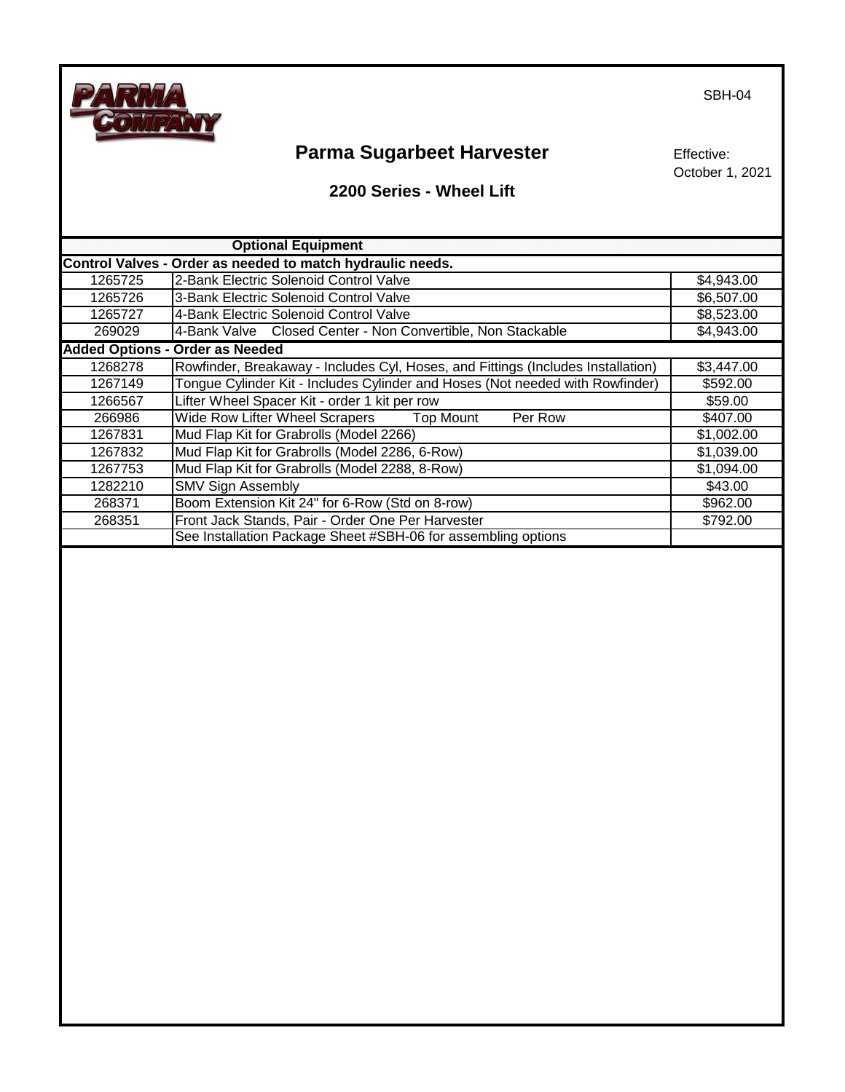

Effective: October 1, 2021

#### **2200 Series - Wheel Lift**

|         | <b>Optional Equipment</b>                                                        |            |
|---------|----------------------------------------------------------------------------------|------------|
|         | Control Valves - Order as needed to match hydraulic needs.                       |            |
| 1265725 | 2-Bank Electric Solenoid Control Valve                                           | \$4,943.00 |
| 1265726 | 3-Bank Electric Solenoid Control Valve                                           | \$6,507.00 |
| 1265727 | 4-Bank Electric Solenoid Control Valve                                           | \$8,523.00 |
| 269029  | 4-Bank Valve Closed Center - Non Convertible, Non Stackable                      | \$4,943.00 |
|         | <b>Added Options - Order as Needed</b>                                           |            |
| 1268278 | Rowfinder, Breakaway - Includes Cyl, Hoses, and Fittings (Includes Installation) | \$3,447.00 |
| 1267149 | Tongue Cylinder Kit - Includes Cylinder and Hoses (Not needed with Rowfinder)    | \$592.00   |
| 1266567 | Lifter Wheel Spacer Kit - order 1 kit per row                                    | \$59.00    |
| 266986  | <b>Top Mount</b><br>Per Row<br><b>Wide Row Lifter Wheel Scrapers</b>             | \$407.00   |
| 1267831 | Mud Flap Kit for Grabrolls (Model 2266)                                          | \$1,002.00 |
| 1267832 | Mud Flap Kit for Grabrolls (Model 2286, 6-Row)                                   | \$1,039.00 |
| 1267753 | Mud Flap Kit for Grabrolls (Model 2288, 8-Row)                                   | \$1,094.00 |
| 1282210 | <b>SMV Sign Assembly</b>                                                         | \$43.00    |
| 268371  | Boom Extension Kit 24" for 6-Row (Std on 8-row)                                  | \$962.00   |
| 268351  | Front Jack Stands, Pair - Order One Per Harvester                                | \$792.00   |
|         | See Installation Package Sheet #SBH-06 for assembling options                    |            |
|         |                                                                                  |            |
|         |                                                                                  |            |
|         |                                                                                  |            |
|         |                                                                                  |            |
|         |                                                                                  |            |
|         |                                                                                  |            |
|         |                                                                                  |            |
|         |                                                                                  |            |
|         |                                                                                  |            |
|         |                                                                                  |            |
|         |                                                                                  |            |
|         |                                                                                  |            |
|         |                                                                                  |            |
|         |                                                                                  |            |
|         |                                                                                  |            |
|         |                                                                                  |            |

SBH-04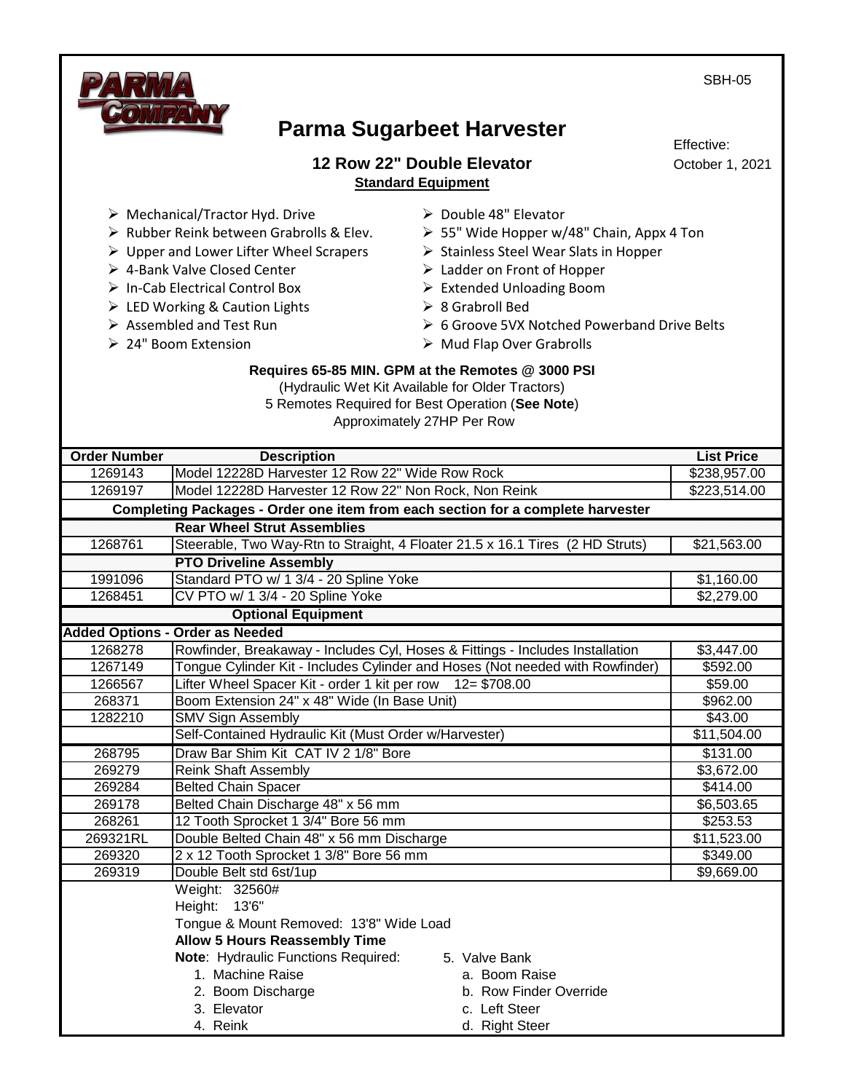SBH-05



# **Parma Sugarbeet Harvester**

**12 Row 22" Double Elevator Standard Equipment**

Effective: October 1, 2021

➢ Mechanical/Tractor Hyd. Drive

- ➢ Rubber Reink between Grabrolls & Elev.
- ➢ Upper and Lower Lifter Wheel Scrapers
- ➢ 4-Bank Valve Closed Center
- ➢ In-Cab Electrical Control Box
- ➢ LED Working & Caution Lights
- ➢ Assembled and Test Run
- ➢ 24" Boom Extension
- ➢ Double 48" Elevator
- $\geq$  55" Wide Hopper w/48" Chain, Appx 4 Ton
- ➢ Stainless Steel Wear Slats in Hopper
- ➢ Ladder on Front of Hopper
- ➢ Extended Unloading Boom
- ➢ 8 Grabroll Bed
- ➢ 6 Groove 5VX Notched Powerband Drive Belts
- ➢ Mud Flap Over Grabrolls

#### **Requires 65-85 MIN. GPM at the Remotes @ 3000 PSI**

(Hydraulic Wet Kit Available for Older Tractors) 5 Remotes Required for Best Operation (**See Note**)

Approximately 27HP Per Row

| <b>Order Number</b> | <b>Description</b>                                                              |                        | <b>List Price</b> |
|---------------------|---------------------------------------------------------------------------------|------------------------|-------------------|
| 1269143             | Model 12228D Harvester 12 Row 22" Wide Row Rock                                 |                        | \$238,957.00      |
| 1269197             | Model 12228D Harvester 12 Row 22" Non Rock, Non Reink                           |                        | \$223,514.00      |
|                     | Completing Packages - Order one item from each section for a complete harvester |                        |                   |
|                     | <b>Rear Wheel Strut Assemblies</b>                                              |                        |                   |
| 1268761             | Steerable, Two Way-Rtn to Straight, 4 Floater 21.5 x 16.1 Tires (2 HD Struts)   |                        | \$21,563.00       |
|                     | <b>PTO Driveline Assembly</b>                                                   |                        |                   |
| 1991096             | Standard PTO w/ 1 3/4 - 20 Spline Yoke                                          |                        | \$1,160.00        |
| 1268451             | CV PTO w/ 1 3/4 - 20 Spline Yoke                                                |                        | \$2,279.00        |
|                     | <b>Optional Equipment</b>                                                       |                        |                   |
|                     | <b>Added Options - Order as Needed</b>                                          |                        |                   |
| 1268278             | Rowfinder, Breakaway - Includes Cyl, Hoses & Fittings - Includes Installation   |                        | \$3,447.00        |
| 1267149             | Tongue Cylinder Kit - Includes Cylinder and Hoses (Not needed with Rowfinder)   |                        | \$592.00          |
| 1266567             | Lifter Wheel Spacer Kit - order 1 kit per row 12= \$708.00                      |                        | \$59.00           |
| 268371              | Boom Extension 24" x 48" Wide (In Base Unit)                                    |                        | \$962.00          |
| 1282210             | <b>SMV Sign Assembly</b>                                                        |                        | \$43.00           |
|                     | Self-Contained Hydraulic Kit (Must Order w/Harvester)                           |                        | \$11,504.00       |
| 268795              | Draw Bar Shim Kit CAT IV 2 1/8" Bore                                            |                        | \$131.00          |
| 269279              | <b>Reink Shaft Assembly</b>                                                     |                        | \$3,672.00        |
| 269284              | <b>Belted Chain Spacer</b>                                                      |                        | \$414.00          |
| 269178              | Belted Chain Discharge 48" x 56 mm                                              |                        | \$6,503.65        |
| 268261              | 12 Tooth Sprocket 1 3/4" Bore 56 mm                                             |                        | \$253.53          |
| 269321RL            | Double Belted Chain 48" x 56 mm Discharge                                       |                        | \$11,523.00       |
| 269320              | 2 x 12 Tooth Sprocket 1 3/8" Bore 56 mm                                         |                        | \$349.00          |
| 269319              | Double Belt std 6st/1up                                                         |                        | \$9,669.00        |
|                     | Weight: 32560#                                                                  |                        |                   |
|                     | Height: 13'6"                                                                   |                        |                   |
|                     | Tongue & Mount Removed: 13'8" Wide Load                                         |                        |                   |
|                     | <b>Allow 5 Hours Reassembly Time</b>                                            |                        |                   |
|                     | Note: Hydraulic Functions Required:                                             | 5. Valve Bank          |                   |
|                     | 1. Machine Raise                                                                | a. Boom Raise          |                   |
|                     | 2. Boom Discharge                                                               | b. Row Finder Override |                   |
|                     | 3. Elevator                                                                     | c. Left Steer          |                   |
|                     | 4. Reink                                                                        | d. Right Steer         |                   |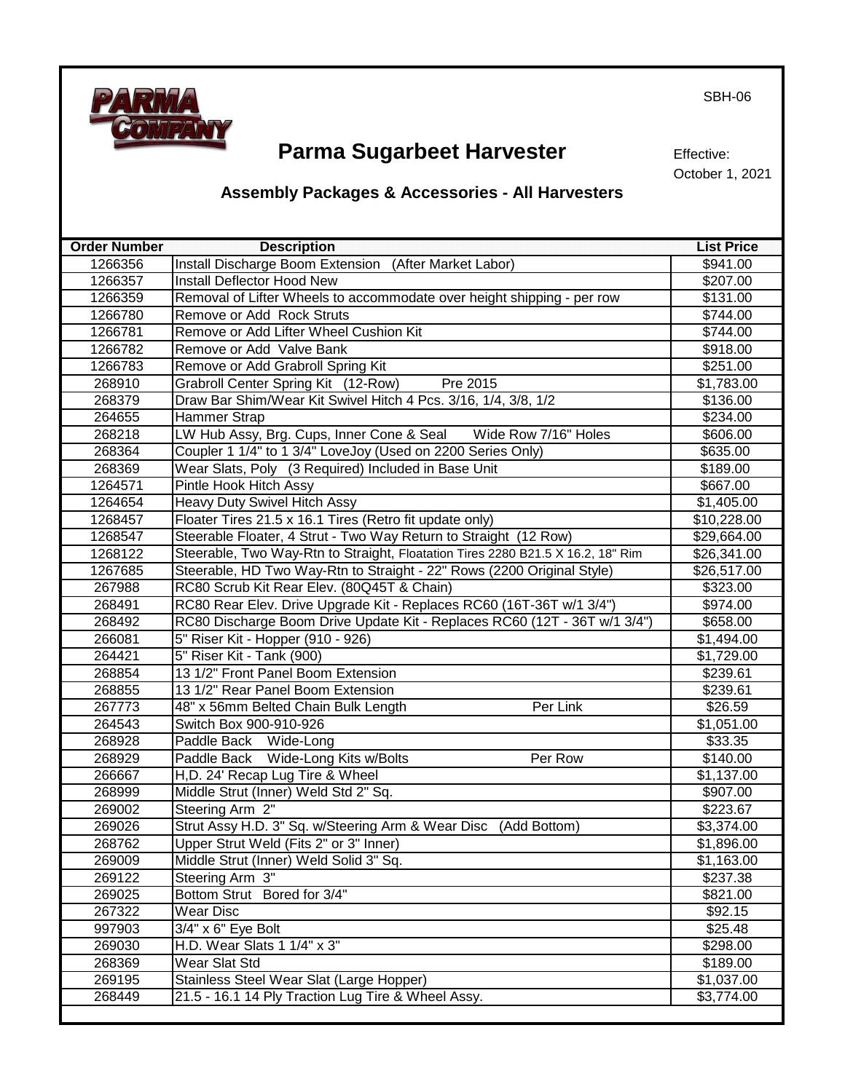

Effective: October 1, 2021

### **Assembly Packages & Accessories - All Harvesters**

| <b>Order Number</b> | <b>Description</b>                                                              | <b>List Price</b>   |
|---------------------|---------------------------------------------------------------------------------|---------------------|
| 1266356             | Install Discharge Boom Extension (After Market Labor)                           | \$941.00            |
| 1266357             | Install Deflector Hood New                                                      | \$207.00            |
| 1266359             | Removal of Lifter Wheels to accommodate over height shipping - per row          | \$131.00            |
| 1266780             | Remove or Add Rock Struts                                                       | \$744.00            |
| 1266781             | Remove or Add Lifter Wheel Cushion Kit                                          | \$744.00            |
| 1266782             | Remove or Add Valve Bank                                                        | \$918.00            |
| 1266783             | Remove or Add Grabroll Spring Kit                                               | \$251.00            |
| 268910              | Grabroll Center Spring Kit (12-Row)<br>Pre 2015                                 | \$1,783.00          |
| 268379              | Draw Bar Shim/Wear Kit Swivel Hitch 4 Pcs. 3/16, 1/4, 3/8, 1/2                  | \$136.00            |
| 264655              | Hammer Strap                                                                    | \$234.00            |
| 268218              | LW Hub Assy, Brg. Cups, Inner Cone & Seal<br>Wide Row 7/16" Holes               | \$606.00            |
| 268364              | Coupler 1 1/4" to 1 3/4" LoveJoy (Used on 2200 Series Only)                     | \$635.00            |
| 268369              | Wear Slats, Poly (3 Required) Included in Base Unit                             | \$189.00            |
| 1264571             | Pintle Hook Hitch Assy                                                          | \$667.00            |
| 1264654             | Heavy Duty Swivel Hitch Assy                                                    | \$1,405.00          |
| 1268457             | Floater Tires 21.5 x 16.1 Tires (Retro fit update only)                         | \$10,228.00         |
| 1268547             | Steerable Floater, 4 Strut - Two Way Return to Straight (12 Row)                | \$29,664.00         |
| 1268122             | Steerable, Two Way-Rtn to Straight, Floatation Tires 2280 B21.5 X 16.2, 18" Rim | \$26,341.00         |
| 1267685             | Steerable, HD Two Way-Rtn to Straight - 22" Rows (2200 Original Style)          | \$26,517.00         |
| 267988              | RC80 Scrub Kit Rear Elev. (80Q45T & Chain)                                      | \$323.00            |
| 268491              | RC80 Rear Elev. Drive Upgrade Kit - Replaces RC60 (16T-36T w/1 3/4")            | \$974.00            |
| 268492              | RC80 Discharge Boom Drive Update Kit - Replaces RC60 (12T - 36T w/1 3/4")       | \$658.00            |
| 266081              | 5" Riser Kit - Hopper (910 - 926)                                               | \$1,494.00          |
| 264421              | 5" Riser Kit - Tank (900)                                                       | \$1,729.00          |
| 268854              | 13 1/2" Front Panel Boom Extension                                              | \$239.61            |
| 268855              | 13 1/2" Rear Panel Boom Extension                                               | \$239.61            |
| 267773              | Per Link<br>48" x 56mm Belted Chain Bulk Length                                 | $\overline{$}26.59$ |
| 264543              | Switch Box 900-910-926                                                          | \$1,051.00          |
| 268928              | Paddle Back Wide-Long                                                           | \$33.35             |
| 268929              | Paddle Back Wide-Long Kits w/Bolts<br>Per Row                                   | \$140.00            |
| 266667              | H, D. 24' Recap Lug Tire & Wheel                                                | \$1,137.00          |
| 268999              | Middle Strut (Inner) Weld Std 2" Sq.                                            | \$907.00            |
| 269002              | Steering Arm 2"                                                                 | \$223.67            |
| 269026              | Strut Assy H.D. 3" Sq. w/Steering Arm & Wear Disc (Add Bottom)                  | \$3,374.00          |
| 268762              | Upper Strut Weld (Fits 2" or 3" Inner)                                          | \$1,896.00          |
| 269009              | Middle Strut (Inner) Weld Solid 3" Sq.                                          | \$1,163.00          |
| 269122              | Steering Arm 3"                                                                 | \$237.38            |
| 269025              | Bottom Strut Bored for 3/4"                                                     | \$821.00            |
| 267322              | Wear Disc                                                                       | \$92.15             |
| 997903              | 3/4" x 6" Eye Bolt                                                              | \$25.48             |
| 269030              | H.D. Wear Slats 1 1/4" x 3"                                                     | \$298.00            |
| 268369              | <b>Wear Slat Std</b>                                                            | \$189.00            |
| 269195              | Stainless Steel Wear Slat (Large Hopper)                                        | \$1,037.00          |
| 268449              | 21.5 - 16.1 14 Ply Traction Lug Tire & Wheel Assy.                              | \$3,774.00          |
|                     |                                                                                 |                     |

SBH-06